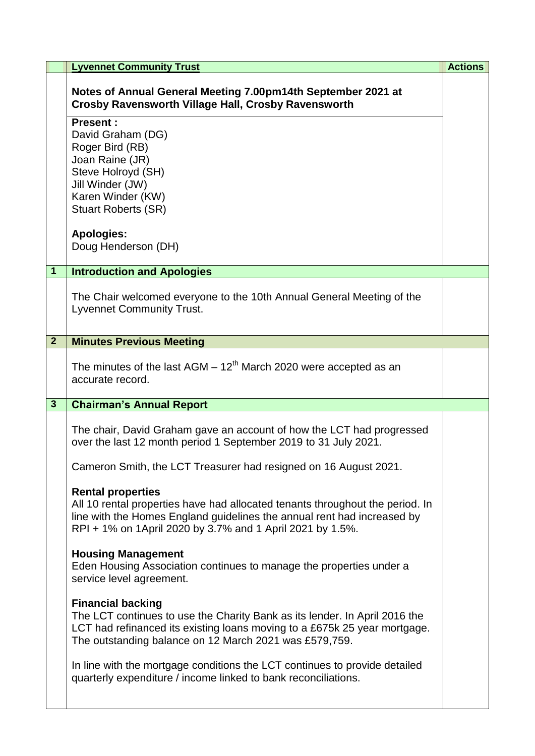|                | <b>Lyvennet Community Trust</b>                                                                                                                                                                                                                   | <b>Actions</b> |
|----------------|---------------------------------------------------------------------------------------------------------------------------------------------------------------------------------------------------------------------------------------------------|----------------|
|                | Notes of Annual General Meeting 7.00pm14th September 2021 at<br><b>Crosby Ravensworth Village Hall, Crosby Ravensworth</b>                                                                                                                        |                |
|                | <b>Present:</b><br>David Graham (DG)<br>Roger Bird (RB)<br>Joan Raine (JR)<br>Steve Holroyd (SH)<br>Jill Winder (JW)<br>Karen Winder (KW)<br><b>Stuart Roberts (SR)</b>                                                                           |                |
|                | <b>Apologies:</b><br>Doug Henderson (DH)                                                                                                                                                                                                          |                |
| $\mathbf{1}$   | <b>Introduction and Apologies</b>                                                                                                                                                                                                                 |                |
|                | The Chair welcomed everyone to the 10th Annual General Meeting of the<br><b>Lyvennet Community Trust.</b>                                                                                                                                         |                |
| 2 <sup>1</sup> | <b>Minutes Previous Meeting</b>                                                                                                                                                                                                                   |                |
|                | The minutes of the last $AGM - 12^{th}$ March 2020 were accepted as an<br>accurate record.                                                                                                                                                        |                |
| $\mathbf{3}$   | <b>Chairman's Annual Report</b>                                                                                                                                                                                                                   |                |
|                | The chair, David Graham gave an account of how the LCT had progressed<br>over the last 12 month period 1 September 2019 to 31 July 2021.<br>Cameron Smith, the LCT Treasurer had resigned on 16 August 2021.                                      |                |
|                | <b>Rental properties</b><br>All 10 rental properties have had allocated tenants throughout the period. In<br>line with the Homes England guidelines the annual rent had increased by<br>RPI + 1% on 1April 2020 by 3.7% and 1 April 2021 by 1.5%. |                |
|                | <b>Housing Management</b><br>Eden Housing Association continues to manage the properties under a<br>service level agreement.                                                                                                                      |                |
|                | <b>Financial backing</b><br>The LCT continues to use the Charity Bank as its lender. In April 2016 the<br>LCT had refinanced its existing loans moving to a £675k 25 year mortgage.<br>The outstanding balance on 12 March 2021 was £579,759.     |                |
|                | In line with the mortgage conditions the LCT continues to provide detailed<br>quarterly expenditure / income linked to bank reconciliations.                                                                                                      |                |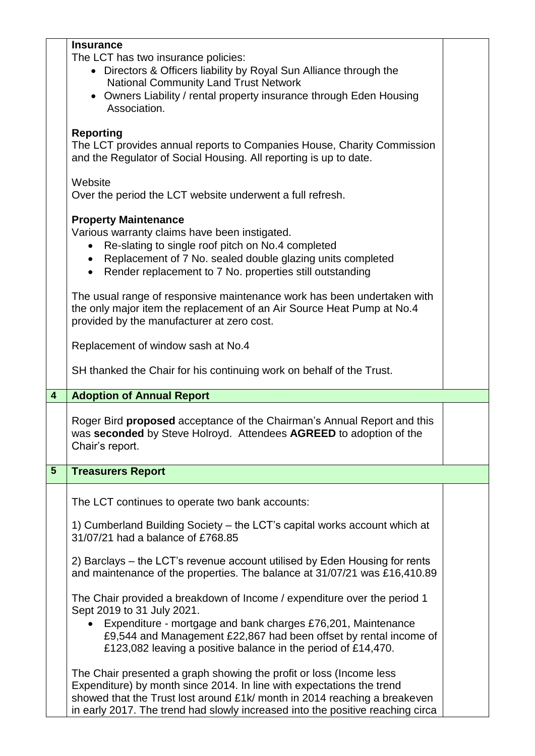|                         | <b>Insurance</b><br>The LCT has two insurance policies:<br>• Directors & Officers liability by Royal Sun Alliance through the<br><b>National Community Land Trust Network</b><br>• Owners Liability / rental property insurance through Eden Housing<br>Association.                                         |  |
|-------------------------|--------------------------------------------------------------------------------------------------------------------------------------------------------------------------------------------------------------------------------------------------------------------------------------------------------------|--|
|                         | <b>Reporting</b><br>The LCT provides annual reports to Companies House, Charity Commission<br>and the Regulator of Social Housing. All reporting is up to date.                                                                                                                                              |  |
|                         | Website<br>Over the period the LCT website underwent a full refresh.                                                                                                                                                                                                                                         |  |
|                         | <b>Property Maintenance</b><br>Various warranty claims have been instigated.<br>Re-slating to single roof pitch on No.4 completed<br>Replacement of 7 No. sealed double glazing units completed<br>$\bullet$<br>Render replacement to 7 No. properties still outstanding                                     |  |
|                         | The usual range of responsive maintenance work has been undertaken with<br>the only major item the replacement of an Air Source Heat Pump at No.4<br>provided by the manufacturer at zero cost.                                                                                                              |  |
|                         | Replacement of window sash at No.4                                                                                                                                                                                                                                                                           |  |
|                         | SH thanked the Chair for his continuing work on behalf of the Trust.                                                                                                                                                                                                                                         |  |
| $\overline{\mathbf{4}}$ | <b>Adoption of Annual Report</b>                                                                                                                                                                                                                                                                             |  |
|                         | Roger Bird <b>proposed</b> acceptance of the Chairman's Annual Report and this<br>was seconded by Steve Holroyd. Attendees AGREED to adoption of the<br>Chair's report.                                                                                                                                      |  |
| 5 <sup>5</sup>          | <b>Treasurers Report</b>                                                                                                                                                                                                                                                                                     |  |
|                         | The LCT continues to operate two bank accounts:                                                                                                                                                                                                                                                              |  |
|                         | 1) Cumberland Building Society - the LCT's capital works account which at<br>31/07/21 had a balance of £768.85                                                                                                                                                                                               |  |
|                         | 2) Barclays – the LCT's revenue account utilised by Eden Housing for rents<br>and maintenance of the properties. The balance at 31/07/21 was £16,410.89                                                                                                                                                      |  |
|                         | The Chair provided a breakdown of Income / expenditure over the period 1<br>Sept 2019 to 31 July 2021.<br>Expenditure - mortgage and bank charges £76,201, Maintenance<br>£9,544 and Management £22,867 had been offset by rental income of<br>£123,082 leaving a positive balance in the period of £14,470. |  |
|                         | The Chair presented a graph showing the profit or loss (Income less<br>Expenditure) by month since 2014. In line with expectations the trend<br>showed that the Trust lost around £1k/ month in 2014 reaching a breakeven<br>in early 2017. The trend had slowly increased into the positive reaching circa  |  |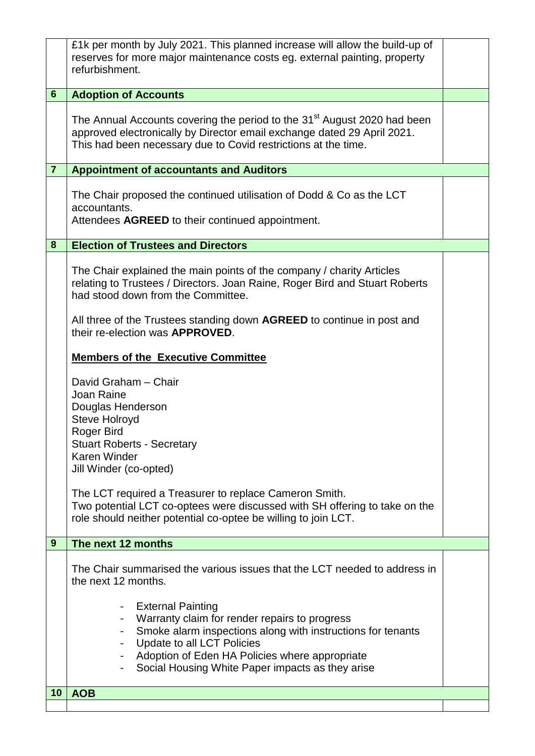|                | £1k per month by July 2021. This planned increase will allow the build-up of                                                                 |  |
|----------------|----------------------------------------------------------------------------------------------------------------------------------------------|--|
|                | reserves for more major maintenance costs eg. external painting, property<br>refurbishment.                                                  |  |
|                |                                                                                                                                              |  |
| $6\phantom{1}$ | <b>Adoption of Accounts</b>                                                                                                                  |  |
|                | The Annual Accounts covering the period to the 31 <sup>st</sup> August 2020 had been                                                         |  |
|                | approved electronically by Director email exchange dated 29 April 2021.                                                                      |  |
|                | This had been necessary due to Covid restrictions at the time.                                                                               |  |
| $\overline{7}$ | <b>Appointment of accountants and Auditors</b>                                                                                               |  |
|                | The Chair proposed the continued utilisation of Dodd & Co as the LCT                                                                         |  |
|                | accountants.                                                                                                                                 |  |
|                | Attendees AGREED to their continued appointment.                                                                                             |  |
| 8              | <b>Election of Trustees and Directors</b>                                                                                                    |  |
|                | The Chair explained the main points of the company / charity Articles                                                                        |  |
|                | relating to Trustees / Directors. Joan Raine, Roger Bird and Stuart Roberts                                                                  |  |
|                | had stood down from the Committee.                                                                                                           |  |
|                | All three of the Trustees standing down <b>AGREED</b> to continue in post and                                                                |  |
|                | their re-election was <b>APPROVED</b> .                                                                                                      |  |
|                | <b>Members of the Executive Committee</b>                                                                                                    |  |
|                | David Graham - Chair                                                                                                                         |  |
|                | Joan Raine<br>Douglas Henderson                                                                                                              |  |
|                | <b>Steve Holroyd</b>                                                                                                                         |  |
|                | Roger Bird<br><b>Stuart Roberts - Secretary</b>                                                                                              |  |
|                | <b>Karen Winder</b>                                                                                                                          |  |
|                | Jill Winder (co-opted)                                                                                                                       |  |
|                | The LCT required a Treasurer to replace Cameron Smith.                                                                                       |  |
|                | Two potential LCT co-optees were discussed with SH offering to take on the<br>role should neither potential co-optee be willing to join LCT. |  |
|                |                                                                                                                                              |  |
| 9              | The next 12 months                                                                                                                           |  |
|                | The Chair summarised the various issues that the LCT needed to address in                                                                    |  |
|                | the next 12 months.                                                                                                                          |  |
|                | <b>External Painting</b>                                                                                                                     |  |
|                | Warranty claim for render repairs to progress                                                                                                |  |
|                | Smoke alarm inspections along with instructions for tenants<br>Update to all LCT Policies                                                    |  |
|                | Adoption of Eden HA Policies where appropriate                                                                                               |  |
|                | Social Housing White Paper impacts as they arise                                                                                             |  |
| 10             | <b>AOB</b>                                                                                                                                   |  |
|                |                                                                                                                                              |  |